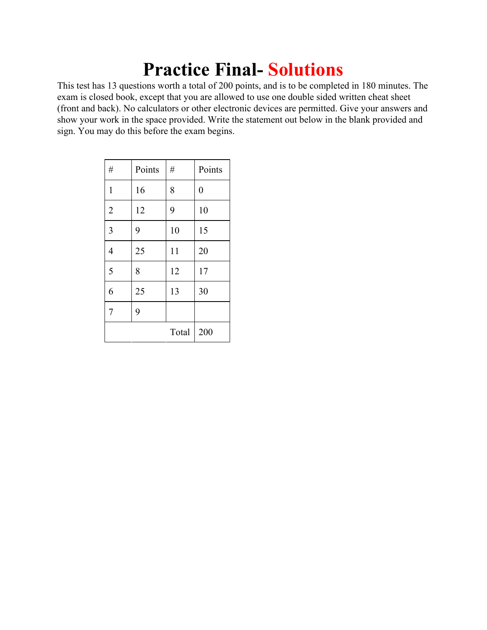# **Practice Final- Solutions**

This test has 13 questions worth a total of 200 points, and is to be completed in 180 minutes. The exam is closed book, except that you are allowed to use one double sided written cheat sheet (front and back). No calculators or other electronic devices are permitted. Give your answers and show your work in the space provided. Write the statement out below in the blank provided and sign. You may do this before the exam begins.

| $\#$           | Points | $\#$  | Points         |
|----------------|--------|-------|----------------|
| $\mathbf{1}$   | 16     | 8     | $\overline{0}$ |
| $\overline{2}$ | 12     | 9     | 10             |
| $\overline{3}$ | 9      | 10    | 15             |
| $\overline{4}$ | 25     | 11    | 20             |
| 5              | 8      | 12    | 17             |
| 6              | 25     | 13    | 30             |
| $\overline{7}$ | 9      |       |                |
|                |        | Total | 200            |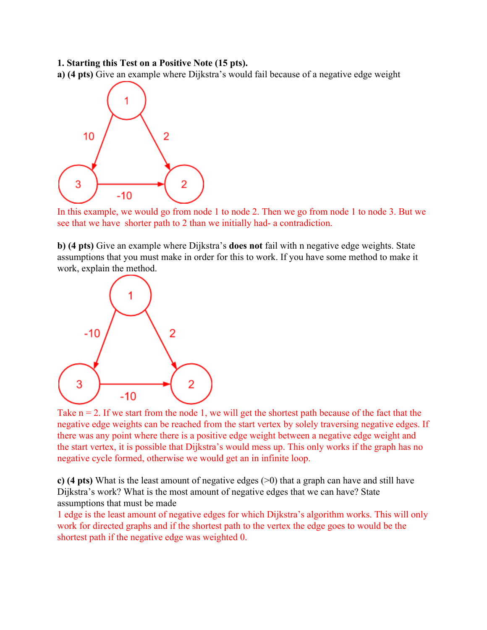#### **1. Starting this Test on a Positive Note (15 pts).**

**a) (4 pts)** Give an example where Dijkstra's would fail because of a negative edge weight



In this example, we would go from node 1 to node 2. Then we go from node 1 to node 3. But we see that we have shorter path to 2 than we initially had- a contradiction.

**b) (4 pts)** Give an example where Dijkstra's **does not** fail with n negative edge weights. State assumptions that you must make in order for this to work. If you have some method to make it work, explain the method.



Take  $n = 2$ . If we start from the node 1, we will get the shortest path because of the fact that the negative edge weights can be reached from the start vertex by solely traversing negative edges. If there was any point where there is a positive edge weight between a negative edge weight and the start vertex, it is possible that Dijkstra's would mess up. This only works if the graph has no negative cycle formed, otherwise we would get an in infinite loop.

**c) (4 pts)** What is the least amount of negative edges (>0) that a graph can have and still have Dijkstra's work? What is the most amount of negative edges that we can have? State assumptions that must be made

1 edge is the least amount of negative edges for which Dijkstra's algorithm works. This will only work for directed graphs and if the shortest path to the vertex the edge goes to would be the shortest path if the negative edge was weighted 0.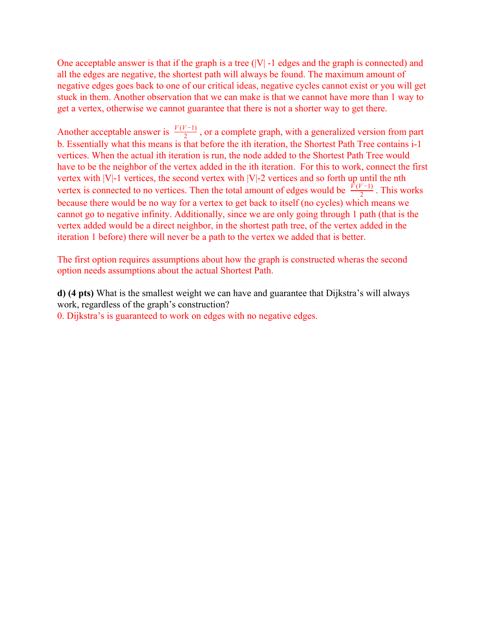One acceptable answer is that if the graph is a tree  $(|V| - 1)$  edges and the graph is connected) and all the edges are negative, the shortest path will always be found. The maximum amount of negative edges goes back to one of our critical ideas, negative cycles cannot exist or you will get stuck in them. Another observation that we can make is that we cannot have more than 1 way to get a vertex, otherwise we cannot guarantee that there is not a shorter way to get there.

Another acceptable answer is  $\frac{V(V-1)}{2}$ , or a complete graph, with a generalized version from part b. Essentially what this means is that before the ith iteration, the Shortest Path Tree contains i-1 vertices. When the actual ith iteration is run, the node added to the Shortest Path Tree would have to be the neighbor of the vertex added in the ith iteration. For this to work, connect the first vertex with |V|-1 vertices, the second vertex with |V|-2 vertices and so forth up until the nth vertex is connected to no vertices. Then the total amount of edges would be  $\frac{\tilde{V}(V-1)}{2}$ . This works because there would be no way for a vertex to get back to itself (no cycles) which means we cannot go to negative infinity. Additionally, since we are only going through 1 path (that is the vertex added would be a direct neighbor, in the shortest path tree, of the vertex added in the iteration 1 before) there will never be a path to the vertex we added that is better.

The first option requires assumptions about how the graph is constructed wheras the second option needs assumptions about the actual Shortest Path.

**d) (4 pts)** What is the smallest weight we can have and guarantee that Dijkstra's will always work, regardless of the graph's construction? 0. Dijkstra's is guaranteed to work on edges with no negative edges.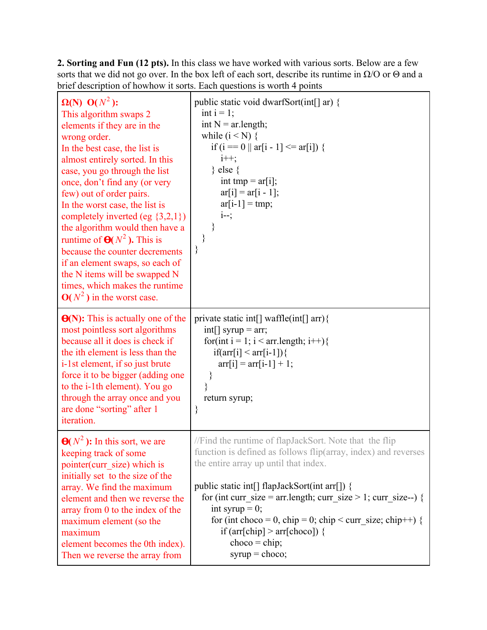**2. Sorting and Fun (12 pts).** In this class we have worked with various sorts. Below are a few sorts that we did not go over. In the box left of each sort, describe its runtime in  $\Omega$ /O or  $\Theta$  and a brief description of howhow it sorts. Each questions is worth 4 points

| $\Omega(N)$ O( $N^2$ ):<br>This algorithm swaps 2<br>elements if they are in the<br>wrong order.<br>In the best case, the list is<br>almost entirely sorted. In this<br>case, you go through the list<br>once, don't find any (or very<br>few) out of order pairs.<br>In the worst case, the list is<br>completely inverted (eg $\{3,2,1\}$ )<br>the algorithm would then have a<br>runtime of $\Theta(N^2)$ . This is<br>because the counter decrements<br>if an element swaps, so each of<br>the N items will be swapped N<br>times, which makes the runtime<br>$O(N^2)$ in the worst case. | public static void dwarfSort(int[] ar) {<br>int $i = 1$ ;<br>int $N = ar.length;$<br>while $(i < N)$ {<br>if (i = 0    ar[i - 1] < = ar[i]) {<br>$i++$ ;<br>} else $\{$<br>int tmp = $ar[i]$ ;<br>$ar[i] = ar[i - 1];$<br>$ar[i-1] = tmp;$<br>$i-$ ;<br>∤<br>}<br>∤                                                                                                                                                                                              |
|-----------------------------------------------------------------------------------------------------------------------------------------------------------------------------------------------------------------------------------------------------------------------------------------------------------------------------------------------------------------------------------------------------------------------------------------------------------------------------------------------------------------------------------------------------------------------------------------------|------------------------------------------------------------------------------------------------------------------------------------------------------------------------------------------------------------------------------------------------------------------------------------------------------------------------------------------------------------------------------------------------------------------------------------------------------------------|
| $\Theta(N)$ : This is actually one of the<br>most pointless sort algorithms<br>because all it does is check if<br>the ith element is less than the<br>i-1st element, if so just brute<br>force it to be bigger (adding one<br>to the i-1th element). You go<br>through the array once and you<br>are done "sorting" after 1<br>iteration.                                                                                                                                                                                                                                                     | private static int[] waffle(int[] arr){<br>$int[]$ syrup = arr;<br>for(int i = 1; i < arr.length; i++){<br>$if(arr[i] < arr[i-1])$<br>$arr[i] = arr[i-1] + 1;$<br>$\{ \}$<br>$\left\{ \right.$<br>return syrup;<br>$\}$                                                                                                                                                                                                                                          |
| $\mathbf{\Theta}(N^2)$ : In this sort, we are<br>keeping track of some<br>pointer(curr size) which is<br>initially set to the size of the<br>array. We find the maximum<br>element and then we reverse the<br>array from 0 to the index of the<br>maximum element (so the<br>maximum<br>element becomes the 0th index).<br>Then we reverse the array from                                                                                                                                                                                                                                     | //Find the runtime of flapJackSort. Note that the flip<br>function is defined as follows flip(array, index) and reverses<br>the entire array up until that index.<br>public static int[] flapJackSort(int arr[]) {<br>for (int curr_size = $arr.length$ ; curr_size > 1; curr_size--) {<br>int syrup = $0$ ;<br>for (int choco = 0, chip = 0; chip < curr_size; chip++) {<br>if $\text{(arr[chip]} > \text{arr[choco]}$ {<br>$choco = chip;$<br>$syrup = choco;$ |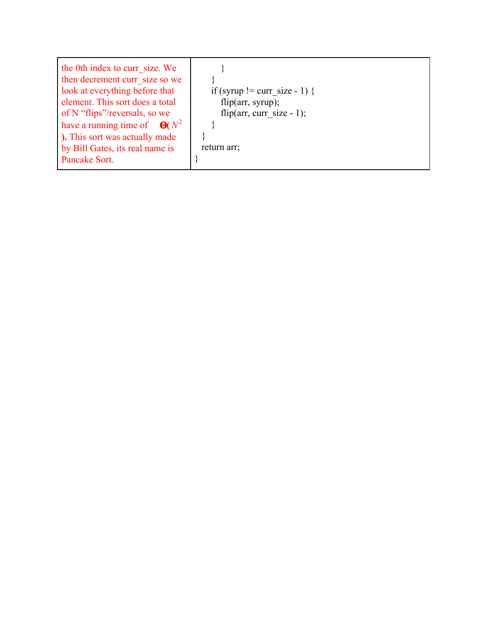| the 0th index to curr size. We<br>then decrement curr size so we<br>look at everything before that<br>element. This sort does a total<br>of N "flips"/reversals, so we<br>have a running time of $\Theta(N^2)$<br>). This sort was actually made | if (syrup != curr size - 1) {<br>flip( $arr$ , syrup);<br>flip(arr, curr size - 1); |
|--------------------------------------------------------------------------------------------------------------------------------------------------------------------------------------------------------------------------------------------------|-------------------------------------------------------------------------------------|
| by Bill Gates, its real name is                                                                                                                                                                                                                  | return arr;                                                                         |
| Pancake Sort.                                                                                                                                                                                                                                    |                                                                                     |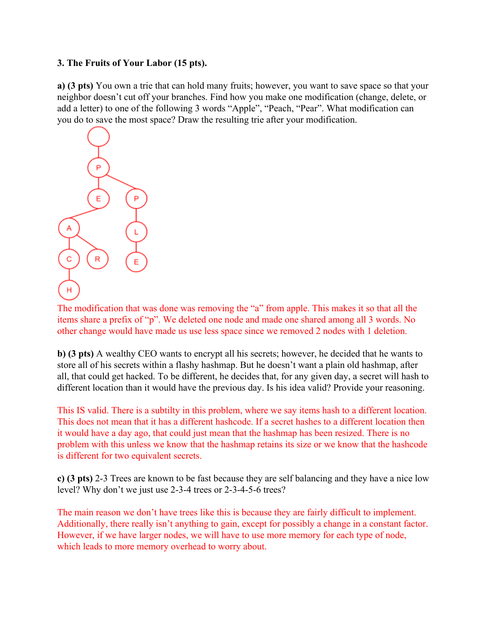### **3. The Fruits of Your Labor (15 pts).**

**a) (3 pts)** You own a trie that can hold many fruits; however, you want to save space so that your neighbor doesn't cut off your branches. Find how you make one modification (change, delete, or add a letter) to one of the following 3 words "Apple", "Peach, "Pear". What modification can you do to save the most space? Draw the resulting trie after your modification.



The modification that was done was removing the "a" from apple. This makes it so that all the items share a prefix of "p". We deleted one node and made one shared among all 3 words. No other change would have made us use less space since we removed 2 nodes with 1 deletion.

**b) (3 pts)** A wealthy CEO wants to encrypt all his secrets; however, he decided that he wants to store all of his secrets within a flashy hashmap. But he doesn't want a plain old hashmap, after all, that could get hacked. To be different, he decides that, for any given day, a secret will hash to different location than it would have the previous day. Is his idea valid? Provide your reasoning.

This IS valid. There is a subtilty in this problem, where we say items hash to a different location. This does not mean that it has a different hashcode. If a secret hashes to a different location then it would have a day ago, that could just mean that the hashmap has been resized. There is no problem with this unless we know that the hashmap retains its size or we know that the hashcode is different for two equivalent secrets.

**c) (3 pts)** 2-3 Trees are known to be fast because they are self balancing and they have a nice low level? Why don't we just use 2-3-4 trees or 2-3-4-5-6 trees?

The main reason we don't have trees like this is because they are fairly difficult to implement. Additionally, there really isn't anything to gain, except for possibly a change in a constant factor. However, if we have larger nodes, we will have to use more memory for each type of node, which leads to more memory overhead to worry about.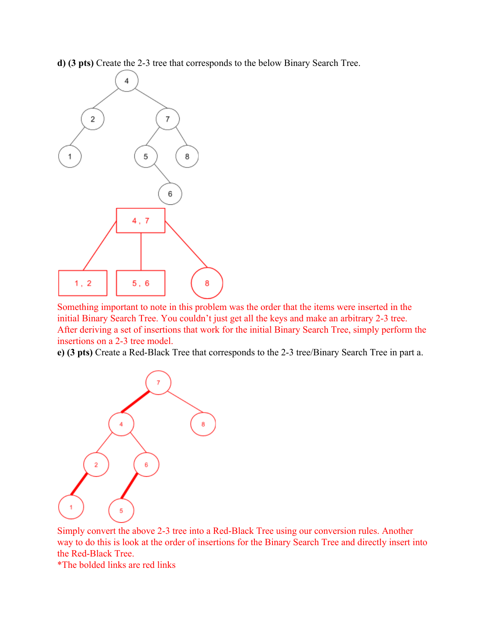**d) (3 pts)** Create the 2-3 tree that corresponds to the below Binary Search Tree.



Something important to note in this problem was the order that the items were inserted in the initial Binary Search Tree. You couldn't just get all the keys and make an arbitrary 2-3 tree. After deriving a set of insertions that work for the initial Binary Search Tree, simply perform the insertions on a 2-3 tree model.

**e) (3 pts)** Create a Red-Black Tree that corresponds to the 2-3 tree/Binary Search Tree in part a.



Simply convert the above 2-3 tree into a Red-Black Tree using our conversion rules. Another way to do this is look at the order of insertions for the Binary Search Tree and directly insert into the Red-Black Tree.

\*The bolded links are red links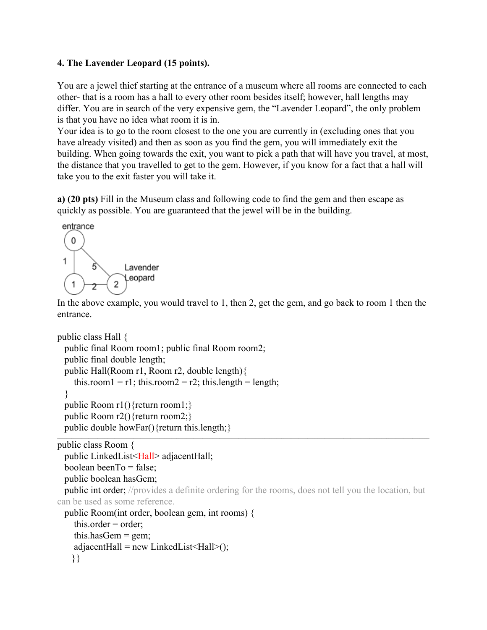## **4. The Lavender Leopard (15 points).**

You are a jewel thief starting at the entrance of a museum where all rooms are connected to each other- that is a room has a hall to every other room besides itself; however, hall lengths may differ. You are in search of the very expensive gem, the "Lavender Leopard", the only problem is that you have no idea what room it is in.

Your idea is to go to the room closest to the one you are currently in (excluding ones that you have already visited) and then as soon as you find the gem, you will immediately exit the building. When going towards the exit, you want to pick a path that will have you travel, at most, the distance that you travelled to get to the gem. However, if you know for a fact that a hall will take you to the exit faster you will take it.

**a) (20 pts)** Fill in the Museum class and following code to find the gem and then escape as quickly as possible. You are guaranteed that the jewel will be in the building.



In the above example, you would travel to 1, then 2, get the gem, and go back to room 1 then the entrance.

```
public class Hall {
 public final Room room1; public final Room room2;
 public final double length;
 public Hall(Room r1, Room r2, double length){
    this.room1 = r1; this.room2 = r2; this.length = length;
  }
 public Room r1(){return room1;}
 public Room r2(){return room2;}
 public double howFar(){return this.length;}
```

```
\_ , and the state of the state of the state of the state of the state of the state of the state of the state of the state of the state of the state of the state of the state of the state of the state of the state of the
public class Room {
  public LinkedList<Hall> adjacentHall;
  boolean beenTo = false;
  public boolean hasGem;
  public int order; //provides a definite ordering for the rooms, does not tell you the location, but
can be used as some reference.
  public Room(int order, boolean gem, int rooms) {
     this.order = order;
     this.hasGem = gem:
     adjacentHall = new LinkedList \le Hall \ge ();
```

```
}}
```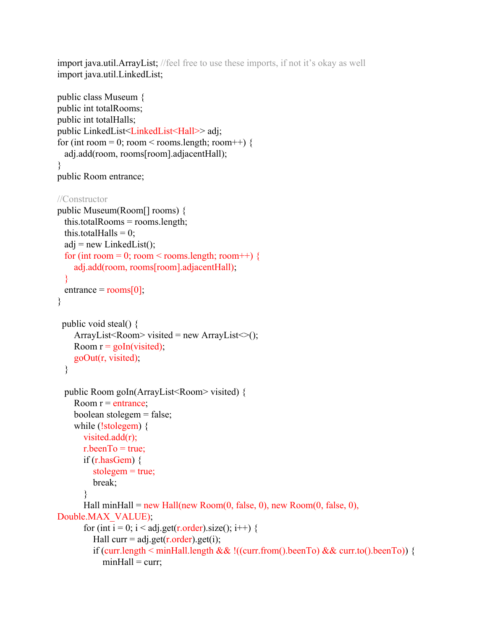import java.util.ArrayList; //feel free to use these imports, if not it's okay as well import java.util.LinkedList;

```
public class Museum {
public int totalRooms;
public int totalHalls;
public LinkedList<LinkedList<Hall>>adj;
for (int room = 0; room < rooms.length; room ++) {
 adj.add(room, rooms[room].adjacentHall);
}
public Room entrance;
//Constructor
public Museum(Room[] rooms) {
 this.totalRooms = rooms.length;
 this.totalHalls = 0;
 adj = new LinkedList();
  for (int room = 0; room < rooms.length; room ++) {
    adj.add(room, rooms[room].adjacentHall);
  }
 entrance = rooms[0];
}
 public void steal() {
    ArrayList < Room > visited = new ArrayList \leq ();
    Room r = \text{goln}(visited);
    goOut(r, visited);
  }
 public Room goIn(ArrayList<Room> visited) {
    Room r = entrance;
    boolean stolegem = false;
    while (!stolegem) {
      visited.add(r);
      r.beenTo = true;
      if (r.hasGem) \{stolegem = true;
         break;
       }
      Hall minHall = new Hall(new Room(0, false, 0), new Room(0, false, 0),
Double.MAX_VALUE);
      for (int i = 0; i < adj.get(r.order).size(); i++) {
         Hall curr = adj.get(r.\text{order}).get(i);
         if (curr.length < minHall.length && !((curr.from().beenTo) && curr.to().beenTo)) {
           minHall = curr;
```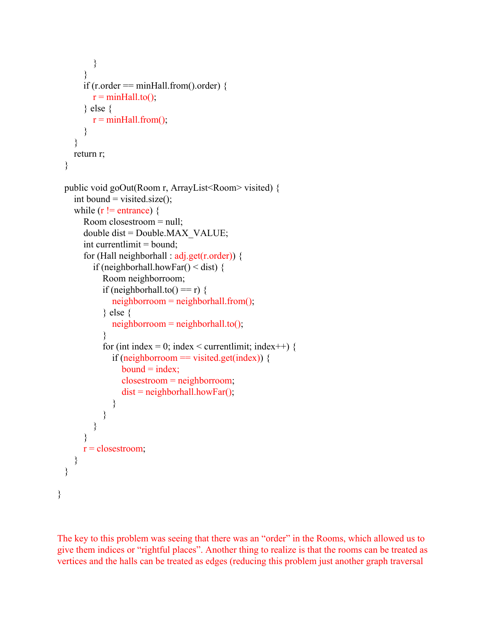```
}
       }
      if (r.order = minHall.from().order) {
         r = minHall.to();} else {
         r = minHall from();}
    }
    return r;
  }
 public void goOut(Room r, ArrayList<Room> visited) {
    int bound = visited.size();
    while (r != entrance) {
      Room closestroom = null;
      double dist = Double.MAX_VALUE;
      int currentlimit = bound;
      for (Hall neighborhall : adj.get(r.order)) {
         if (neighborhall.howFar() < dist) {
            Room neighborroom;
            if (neighborhall.to() == r) {
              neighbourroom = neighborhoodunenthelection <math>\gamma;
            } else {
              neighborroom = neighborball.to();}
            for (int index = 0; index < currentlimit; index ++) {
              if (neighborroom == visited.get(index)) {
                 bound = index;closestroom = neighborroom;
                 dist = neighborhall.howFar();
              }
            }
         }
       }
      r = closestroom;
    }
 }
}
```
The key to this problem was seeing that there was an "order" in the Rooms, which allowed us to give them indices or "rightful places". Another thing to realize is that the rooms can be treated as vertices and the halls can be treated as edges (reducing this problem just another graph traversal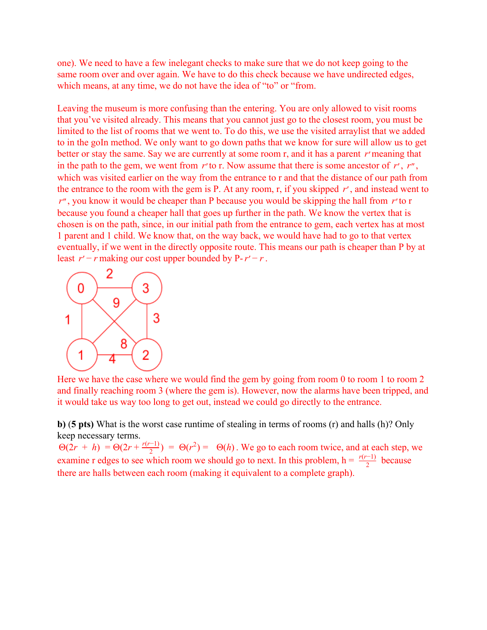one). We need to have a few inelegant checks to make sure that we do not keep going to the same room over and over again. We have to do this check because we have undirected edges, which means, at any time, we do not have the idea of "to" or "from.

Leaving the museum is more confusing than the entering. You are only allowed to visit rooms that you've visited already. This means that you cannot just go to the closest room, you must be limited to the list of rooms that we went to. To do this, we use the visited arraylist that we added to in the goIn method. We only want to go down paths that we know for sure will allow us to get better or stay the same. Say we are currently at some room r, and it has a parent *r*′meaning that in the path to the gem, we went from *r*′to r. Now assume that there is some ancestor of *r*′ , *r*′′ , which was visited earlier on the way from the entrance to r and that the distance of our path from the entrance to the room with the gem is P. At any room, r, if you skipped *r*′ , and instead went to *r*′′ , you know it would be cheaper than P because you would be skipping the hall from *r*′to r because you found a cheaper hall that goes up further in the path. We know the vertex that is chosen is on the path, since, in our initial path from the entrance to gem, each vertex has at most 1 parent and 1 child. We know that, on the way back, we would have had to go to that vertex eventually, if we went in the directly opposite route. This means our path is cheaper than P by at least  $r' - r$  making our cost upper bounded by  $P - r' - r$ .



Here we have the case where we would find the gem by going from room 0 to room 1 to room 2 and finally reaching room 3 (where the gem is). However, now the alarms have been tripped, and it would take us way too long to get out, instead we could go directly to the entrance.

**b)** (**5 pts)** What is the worst case runtime of stealing in terms of rooms (r) and halls (h)? Only keep necessary terms.

 $\Theta(2r + h) = \Theta(2r + \frac{r(r-1)}{2}) = \Theta(r^2) = \Theta(h)$ . We go to each room twice, and at each step, we examine r edges to see which room we should go to next. In this problem,  $h = \frac{r(r-1)}{2}$  because there are halls between each room (making it equivalent to a complete graph).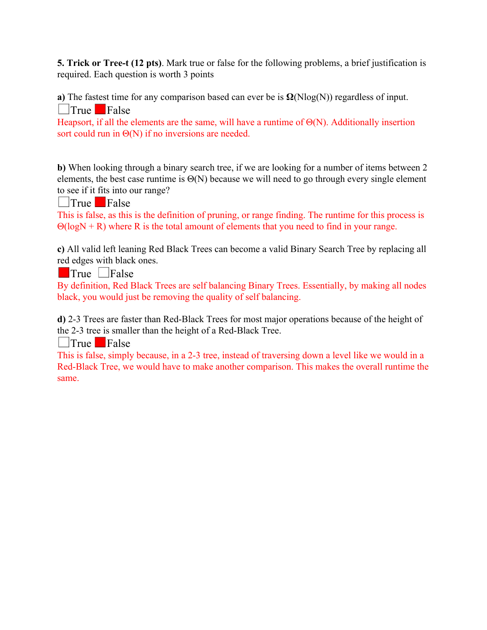**5. Trick or Tree-t (12 pts)**. Mark true or false for the following problems, a brief justification is required. Each question is worth 3 points

**a)** The fastest time for any comparison based can ever be is  $\Omega(N\log(N))$  regardless of input.

**True** False

Heapsort, if all the elements are the same, will have a runtime of Θ(N). Additionally insertion sort could run in Θ(N) if no inversions are needed.

**b)** When looking through a binary search tree, if we are looking for a number of items between 2 elements, the best case runtime is  $\Theta(N)$  because we will need to go through every single element to see if it fits into our range?

**True** False

This is false, as this is the definition of pruning, or range finding. The runtime for this process is  $\Theta(\log N + R)$  where R is the total amount of elements that you need to find in your range.

**c)** All valid left leaning Red Black Trees can become a valid Binary Search Tree by replacing all red edges with black ones.

 $\blacksquare$ True  $\blacksquare$ False

By definition, Red Black Trees are self balancing Binary Trees. Essentially, by making all nodes black, you would just be removing the quality of self balancing.

**d)** 2-3 Trees are faster than Red-Black Trees for most major operations because of the height of the 2-3 tree is smaller than the height of a Red-Black Tree.

**True** False

This is false, simply because, in a 2-3 tree, instead of traversing down a level like we would in a Red-Black Tree, we would have to make another comparison. This makes the overall runtime the same.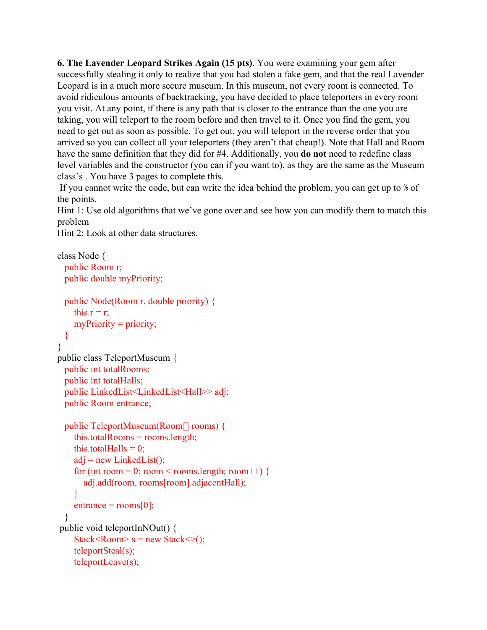**6. The Lavender Leopard Strikes Again (15 pts)**. You were examining your gem after successfully stealing it only to realize that you had stolen a fake gem, and that the real Lavender Leopard is in a much more secure museum. In this museum, not every room is connected. To avoid ridiculous amounts of backtracking, you have decided to place teleporters in every room you visit. At any point, if there is any path that is closer to the entrance than the one you are taking, you will teleport to the room before and then travel to it. Once you find the gem, you need to get out as soon as possible. To get out, you will teleport in the reverse order that you arrived so you can collect all your teleporters (they aren't that cheap!). Note that Hall and Room have the same definition that they did for #4. Additionally, you **do not** need to redefine class level variables and the constructor (you can if you want to), as they are the same as the Museum class's . You have 3 pages to complete this.

If you cannot write the code, but can write the idea behind the problem, you can get up to ⅗ of the points.

Hint 1: Use old algorithms that we've gone over and see how you can modify them to match this problem

Hint 2: Look at other data structures.

```
class Node {
 public Room r;
 public double myPriority;
 public Node(Room r, double priority) {
    this.r = r;
    myPriority = priority;}
}
public class TeleportMuseum {
 public int totalRooms;
 public int totalHalls;
 public LinkedList<LinkedList<Hall>> adj;
 public Room entrance;
 public TeleportMuseum(Room[] rooms) {
    this.totalRooms = rooms.length;
    this.totalHalls = 0;
    adj = new LinkedList();
    for (int room = 0; room < rooms.length; room + +) {
      adj.add(room, rooms[room].adjacentHall);
    }
    entrance = rooms[0];
  }
public void teleportInNOut() {
    Stack<Room> s = new Stack ();
    teleportSteal(s);
    teleportLeave(s);
```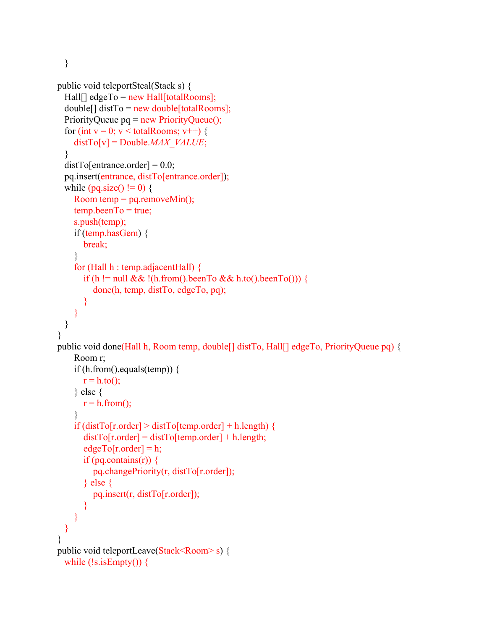}

```
public void teleportSteal(Stack s) {
 Hall[] edgeTo = new Hall[totalRooms];
 double[] distTo = new double[total Rooms];PriorityQueue pq = new PriorityQueue();
 for (int v = 0; v < totalRooms; v++) {
    distTo[v] = Double.MAX_VALUE;
  }
 distTo[entrance. order] = 0.0;pq.insert(entrance, distTo[entrance.order]);
 while (pq.size() != 0) {
    Room temp = pq.removeMin();
    temp. beenTo = true;s.push(temp);
    if (temp.hasGem) {
      break;
    }
    for (Hall h : temp.adjacentHall) {
      if (h != null && !(h.from().beenTo && h.to().beenTo())) {
         done(h, temp, distTo, edgeTo, pq);
       }
    }
 }
}
public void done(Hall h, Room temp, double[] distTo, Hall[] edgeTo, PriorityQueue pq) {
    Room r;
    if (h.from().equals(temp)) {
      r = h.to();
    } else {
      r = h.from();
    }
    if (distTo[r.order] > distTo[temp.order] + h.length) {
      distTo[r.order] = distTo[temp.order] + h.length;edgeTo[<i>r</i>.order] = h;if (pq.contains(r)) \{pq.changePriority(r, distTo[r.order]);
      } else {
         pq.insert(r, distTo[r.order]);
      }
    }
 }
}
public void teleportLeave(Stack<Room>s) {
 while (!s.isEmpty() {
```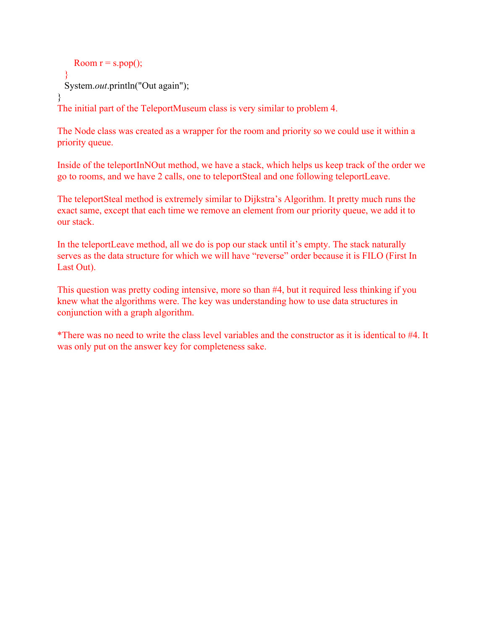```
Room r = s.pop();
 }
 System.out.println("Out again");
}
```
The initial part of the TeleportMuseum class is very similar to problem 4.

The Node class was created as a wrapper for the room and priority so we could use it within a priority queue.

Inside of the teleportInNOut method, we have a stack, which helps us keep track of the order we go to rooms, and we have 2 calls, one to teleportSteal and one following teleportLeave.

The teleportSteal method is extremely similar to Dijkstra's Algorithm. It pretty much runs the exact same, except that each time we remove an element from our priority queue, we add it to our stack.

In the teleportLeave method, all we do is pop our stack until it's empty. The stack naturally serves as the data structure for which we will have "reverse" order because it is FILO (First In Last Out).

This question was pretty coding intensive, more so than #4, but it required less thinking if you knew what the algorithms were. The key was understanding how to use data structures in conjunction with a graph algorithm.

\*There was no need to write the class level variables and the constructor as it is identical to #4. It was only put on the answer key for completeness sake.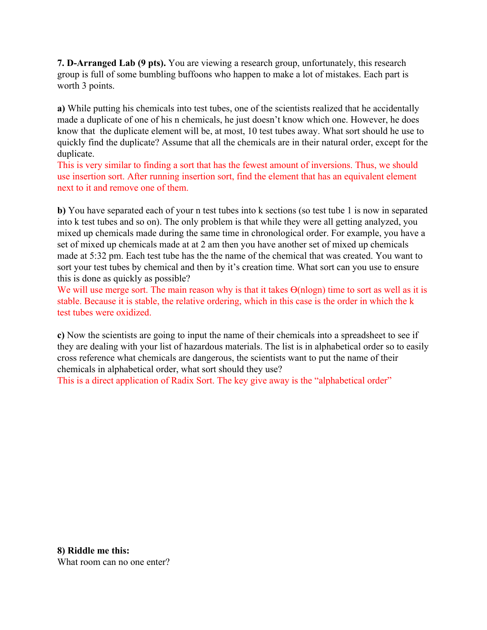**7. D-Arranged Lab (9 pts).** You are viewing a research group, unfortunately, this research group is full of some bumbling buffoons who happen to make a lot of mistakes. Each part is worth 3 points.

**a)** While putting his chemicals into test tubes, one of the scientists realized that he accidentally made a duplicate of one of his n chemicals, he just doesn't know which one. However, he does know that the duplicate element will be, at most, 10 test tubes away. What sort should he use to quickly find the duplicate? Assume that all the chemicals are in their natural order, except for the duplicate.

This is very similar to finding a sort that has the fewest amount of inversions. Thus, we should use insertion sort. After running insertion sort, find the element that has an equivalent element next to it and remove one of them.

**b)** You have separated each of your n test tubes into k sections (so test tube 1 is now in separated into k test tubes and so on). The only problem is that while they were all getting analyzed, you mixed up chemicals made during the same time in chronological order. For example, you have a set of mixed up chemicals made at at 2 am then you have another set of mixed up chemicals made at 5:32 pm. Each test tube has the the name of the chemical that was created. You want to sort your test tubes by chemical and then by it's creation time. What sort can you use to ensure this is done as quickly as possible?

We will use merge sort. The main reason why is that it takes  $Θ(nlogn)$  time to sort as well as it is stable. Because it is stable, the relative ordering, which in this case is the order in which the k test tubes were oxidized.

**c)** Now the scientists are going to input the name of their chemicals into a spreadsheet to see if they are dealing with your list of hazardous materials. The list is in alphabetical order so to easily cross reference what chemicals are dangerous, the scientists want to put the name of their chemicals in alphabetical order, what sort should they use?

This is a direct application of Radix Sort. The key give away is the "alphabetical order"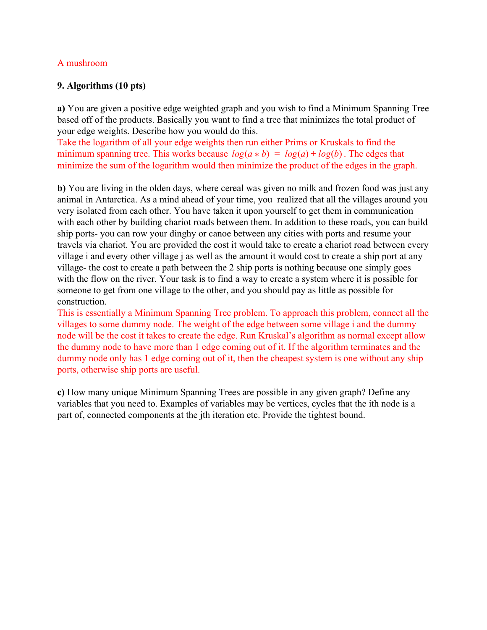#### A mushroom

### **9. Algorithms (10 pts)**

**a)** You are given a positive edge weighted graph and you wish to find a Minimum Spanning Tree based off of the products. Basically you want to find a tree that minimizes the total product of your edge weights. Describe how you would do this.

Take the logarithm of all your edge weights then run either Prims or Kruskals to find the minimum spanning tree. This works because  $log(a * b) = log(a) + log(b)$ . The edges that minimize the sum of the logarithm would then minimize the product of the edges in the graph.

**b)** You are living in the olden days, where cereal was given no milk and frozen food was just any animal in Antarctica. As a mind ahead of your time, you realized that all the villages around you very isolated from each other. You have taken it upon yourself to get them in communication with each other by building chariot roads between them. In addition to these roads, you can build ship ports- you can row your dinghy or canoe between any cities with ports and resume your travels via chariot. You are provided the cost it would take to create a chariot road between every village i and every other village j as well as the amount it would cost to create a ship port at any village- the cost to create a path between the 2 ship ports is nothing because one simply goes with the flow on the river. Your task is to find a way to create a system where it is possible for someone to get from one village to the other, and you should pay as little as possible for construction.

This is essentially a Minimum Spanning Tree problem. To approach this problem, connect all the villages to some dummy node. The weight of the edge between some village i and the dummy node will be the cost it takes to create the edge. Run Kruskal's algorithm as normal except allow the dummy node to have more than 1 edge coming out of it. If the algorithm terminates and the dummy node only has 1 edge coming out of it, then the cheapest system is one without any ship ports, otherwise ship ports are useful.

**c)** How many unique Minimum Spanning Trees are possible in any given graph? Define any variables that you need to. Examples of variables may be vertices, cycles that the ith node is a part of, connected components at the jth iteration etc. Provide the tightest bound.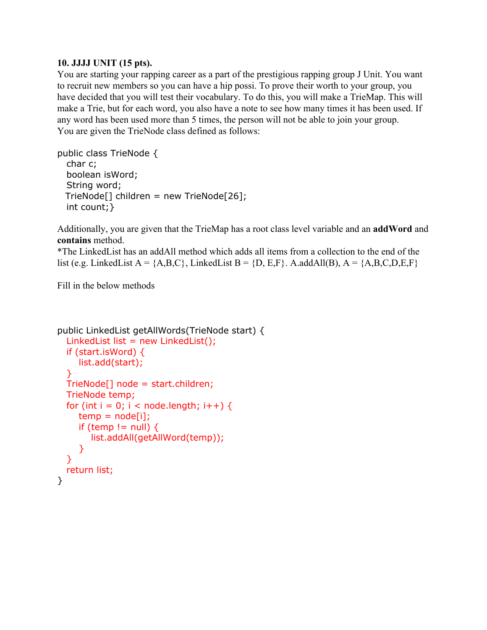## **10. JJJJ UNIT (15 pts).**

You are starting your rapping career as a part of the prestigious rapping group J Unit. You want to recruit new members so you can have a hip possi. To prove their worth to your group, you have decided that you will test their vocabulary. To do this, you will make a TrieMap. This will make a Trie, but for each word, you also have a note to see how many times it has been used. If any word has been used more than 5 times, the person will not be able to join your group. You are given the TrieNode class defined as follows:

```
public class TrieNode {
  char c;
  boolean isWord;
  String word;
 TrieNode[] children = new TrieNode[26];
  int count;}
```
Additionally, you are given that the TrieMap has a root class level variable and an **addWord** and **contains** method.

\*The LinkedList has an addAll method which adds all items from a collection to the end of the list (e.g. LinkedList A =  ${A, B, C}$ , LinkedList B =  ${D, E, F}$ . A.addAll(B), A =  ${A, B, C, D, E, F}$ 

Fill in the below methods

```
public LinkedList getAllWords(TrieNode start) {
  LinkedList list = new LinkedList();
  if (start.isWord) {
    list.add(start);
  }
 TrieNode[] node = start.children;
 TrieNode temp;
  for (int i = 0; i < node.length; i++) {
    temp = node[i];if (temp != null) \{list.addAll(getAllWord(temp));
    }
  }
 return list;
}
```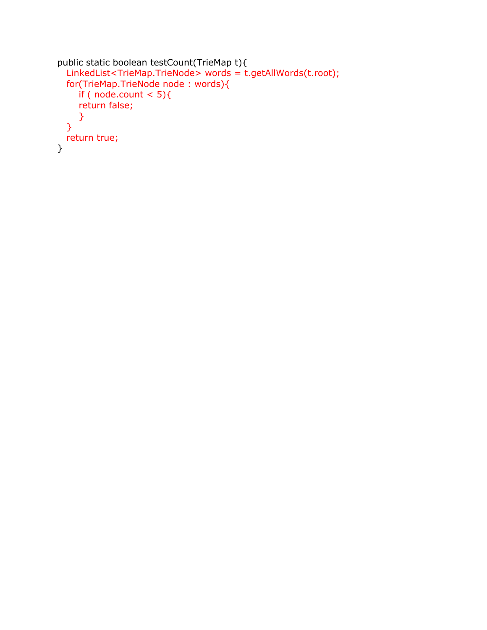```
public static boolean testCount(TrieMap t){
 LinkedList<TrieMap.TrieNode> words = t.getAllWords(t.root);
 for(TrieMap.TrieNode node : words){
    if ( node.count < 5)\{return false;
    }
 }
 return true;
}
```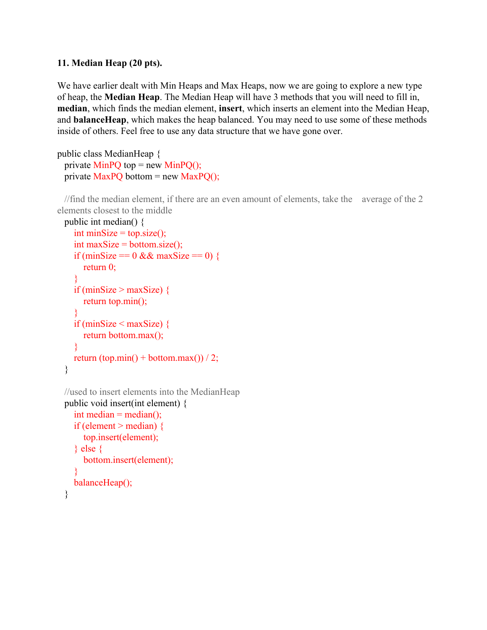## **11. Median Heap (20 pts).**

We have earlier dealt with Min Heaps and Max Heaps, now we are going to explore a new type of heap, the **Median Heap**. The Median Heap will have 3 methods that you will need to fill in, **median**, which finds the median element, **insert**, which inserts an element into the Median Heap, and **balanceHeap**, which makes the heap balanced. You may need to use some of these methods inside of others. Feel free to use any data structure that we have gone over.

```
public class MedianHeap {
 private MinPO top = new MinPO();
 private MaxPO bottom = new MaxPO);
```
//find the median element, if there are an even amount of elements, take the average of the 2 elements closest to the middle

```
public int median() {
  int minSize = top.size();
  int maxSize = bottom.size();
  if (minSize = 0 && maxSize = 0) {
     return 0;
  }
  if (minSize > maxSize) \{return top.min();
  }
  if (minSize \leq maxSize) {
     return bottom.max();
  }
  return (top.min() + bottom.max()) / 2;
}
```

```
//used to insert elements into the MedianHeap
public void insert(int element) {
  int median = median();
  if (element > median) {
     top.insert(element);
  } else {
     bottom.insert(element);
  }
  balanceHeap();
```

```
}
```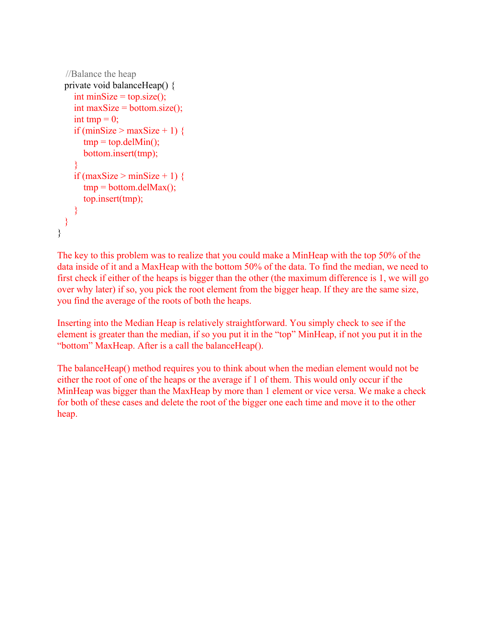```
//Balance the heap
 private void balanceHeap() {
    int minSize = top.size();
    int maxSize = bottom.size();
    int tmp = 0;
   if (minSize > maxSize + 1) {
      tmp = top.delMin();
      bottom.insert(tmp);
    }
   if (maxSize > minSize + 1) {
      tmp = bottom.deIMax();top.insert(tmp);
   }
 }
}
```
The key to this problem was to realize that you could make a MinHeap with the top 50% of the data inside of it and a MaxHeap with the bottom 50% of the data. To find the median, we need to first check if either of the heaps is bigger than the other (the maximum difference is 1, we will go over why later) if so, you pick the root element from the bigger heap. If they are the same size, you find the average of the roots of both the heaps.

Inserting into the Median Heap is relatively straightforward. You simply check to see if the element is greater than the median, if so you put it in the "top" MinHeap, if not you put it in the "bottom" MaxHeap. After is a call the balanceHeap().

The balanceHeap() method requires you to think about when the median element would not be either the root of one of the heaps or the average if 1 of them. This would only occur if the MinHeap was bigger than the MaxHeap by more than 1 element or vice versa. We make a check for both of these cases and delete the root of the bigger one each time and move it to the other heap.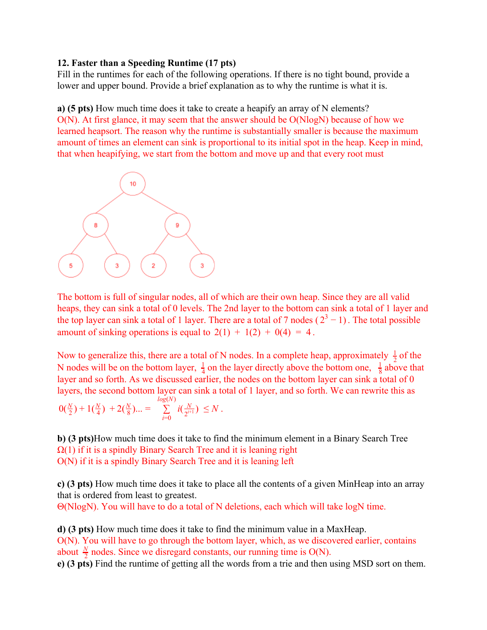#### **12. Faster than a Speeding Runtime (17 pts)**

Fill in the runtimes for each of the following operations. If there is no tight bound, provide a lower and upper bound. Provide a brief explanation as to why the runtime is what it is.

**a) (5 pts)** How much time does it take to create a heapify an array of N elements? O(N). At first glance, it may seem that the answer should be O(NlogN) because of how we learned heapsort. The reason why the runtime is substantially smaller is because the maximum amount of times an element can sink is proportional to its initial spot in the heap. Keep in mind, that when heapifying, we start from the bottom and move up and that every root must



The bottom is full of singular nodes, all of which are their own heap. Since they are all valid heaps, they can sink a total of 0 levels. The 2nd layer to the bottom can sink a total of 1 layer and the top layer can sink a total of 1 layer. There are a total of 7 nodes ( $2^3 - 1$ ). The total possible amount of sinking operations is equal to  $2(1) + 1(2) + 0(4) = 4$ .

Now to generalize this, there are a total of N nodes. In a complete heap, approximately  $\frac{1}{2}$  of the N nodes will be on the bottom layer,  $\frac{1}{4}$  on the layer directly above the bottom one,  $\frac{1}{8}$  above that 8 1 layer and so forth. As we discussed earlier, the nodes on the bottom layer can sink a total of 0 layers, the second bottom layer can sink a total of 1 layer, and so forth. We can rewrite this as

$$
0(\tfrac{N}{2}) + 1(\tfrac{N}{4}) + 2(\tfrac{N}{8})... = \sum_{i=0}^{\log(N)} i(\tfrac{N}{2^{i+1}}) \leq N.
$$

**b) (3 pts)**How much time does it take to find the minimum element in a Binary Search Tree  $\Omega(1)$  if it is a spindly Binary Search Tree and it is leaning right O(N) if it is a spindly Binary Search Tree and it is leaning left

**c) (3 pts)** How much time does it take to place all the contents of a given MinHeap into an array that is ordered from least to greatest.

Θ(NlogN). You will have to do a total of N deletions, each which will take logN time.

**d) (3 pts)** How much time does it take to find the minimum value in a MaxHeap. O(N). You will have to go through the bottom layer, which, as we discovered earlier, contains about  $\frac{N}{2}$  nodes. Since we disregard constants, our running time is O(N).

**e) (3 pts)** Find the runtime of getting all the words from a trie and then using MSD sort on them.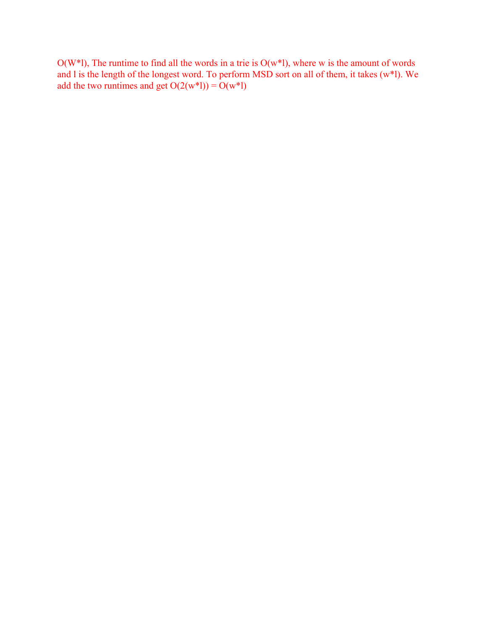$O(W^*l)$ , The runtime to find all the words in a trie is  $O(w^*l)$ , where w is the amount of words and l is the length of the longest word. To perform MSD sort on all of them, it takes (w\*l). We add the two runtimes and get  $O(2(w^*l)) = O(w^*l)$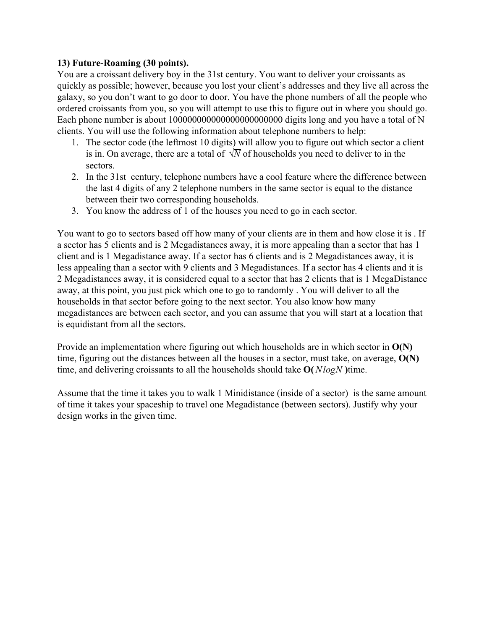## **13) Future-Roaming (30 points).**

You are a croissant delivery boy in the 31st century. You want to deliver your croissants as quickly as possible; however, because you lost your client's addresses and they live all across the galaxy, so you don't want to go door to door. You have the phone numbers of all the people who ordered croissants from you, so you will attempt to use this to figure out in where you should go. Each phone number is about 100000000000000000000000 digits long and you have a total of N clients. You will use the following information about telephone numbers to help:

- 1. The sector code (the leftmost 10 digits) will allow you to figure out which sector a client is in. On average, there are a total of  $\sqrt{N}$  of households you need to deliver to in the sectors.
- 2. In the 31st century, telephone numbers have a cool feature where the difference between the last 4 digits of any 2 telephone numbers in the same sector is equal to the distance between their two corresponding households.
- 3. You know the address of 1 of the houses you need to go in each sector.

You want to go to sectors based off how many of your clients are in them and how close it is . If a sector has 5 clients and is 2 Megadistances away, it is more appealing than a sector that has 1 client and is 1 Megadistance away. If a sector has 6 clients and is 2 Megadistances away, it is less appealing than a sector with 9 clients and 3 Megadistances. If a sector has 4 clients and it is 2 Megadistances away, it is considered equal to a sector that has 2 clients that is 1 MegaDistance away, at this point, you just pick which one to go to randomly . You will deliver to all the households in that sector before going to the next sector. You also know how many megadistances are between each sector, and you can assume that you will start at a location that is equidistant from all the sectors.

Provide an implementation where figuring out which households are in which sector in **O(N)** time, figuring out the distances between all the houses in a sector, must take, on average, **O(N)** time, and delivering croissants to all the households should take **O(***NlogN* **)**time.

Assume that the time it takes you to walk 1 Minidistance (inside of a sector) is the same amount of time it takes your spaceship to travel one Megadistance (between sectors). Justify why your design works in the given time.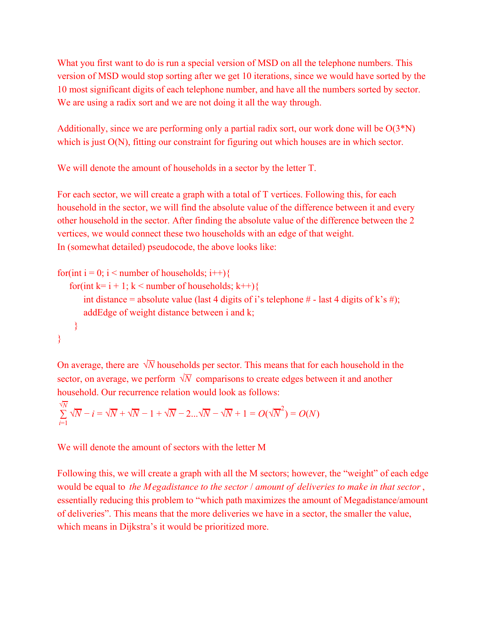What you first want to do is run a special version of MSD on all the telephone numbers. This version of MSD would stop sorting after we get 10 iterations, since we would have sorted by the 10 most significant digits of each telephone number, and have all the numbers sorted by sector. We are using a radix sort and we are not doing it all the way through.

Additionally, since we are performing only a partial radix sort, our work done will be  $O(3*N)$ which is just O(N), fitting our constraint for figuring out which houses are in which sector.

We will denote the amount of households in a sector by the letter T.

For each sector, we will create a graph with a total of T vertices. Following this, for each household in the sector, we will find the absolute value of the difference between it and every other household in the sector. After finding the absolute value of the difference between the 2 vertices, we would connect these two households with an edge of that weight. In (somewhat detailed) pseudocode, the above looks like:

```
for(int i = 0; i < number of households; i++){
   for(int k= i + 1; k < number of households; k++){
      int distance = absolute value (last 4 digits of i's telephone # - last 4 digits of k's #);
      addEdge of weight distance between i and k;
    }
}
```
On average, there are  $\sqrt{N}$  households per sector. This means that for each household in the sector, on average, we perform  $\sqrt{N}$  comparisons to create edges between it and another household. Our recurrence relation would look as follows:

$$
\sum_{i=1}^{\sqrt{N}} \sqrt{N} - i = \sqrt{N} + \sqrt{N} - 1 + \sqrt{N} - 2 \dots \sqrt{N} - \sqrt{N} + 1 = O(\sqrt{N}^2) = O(N)
$$

We will denote the amount of sectors with the letter M

Following this, we will create a graph with all the M sectors; however, the "weight" of each edge would be equal to *the Megadistance to the sector* / *amount of deliveries to make in that sector* , essentially reducing this problem to "which path maximizes the amount of Megadistance/amount of deliveries". This means that the more deliveries we have in a sector, the smaller the value, which means in Dijkstra's it would be prioritized more.